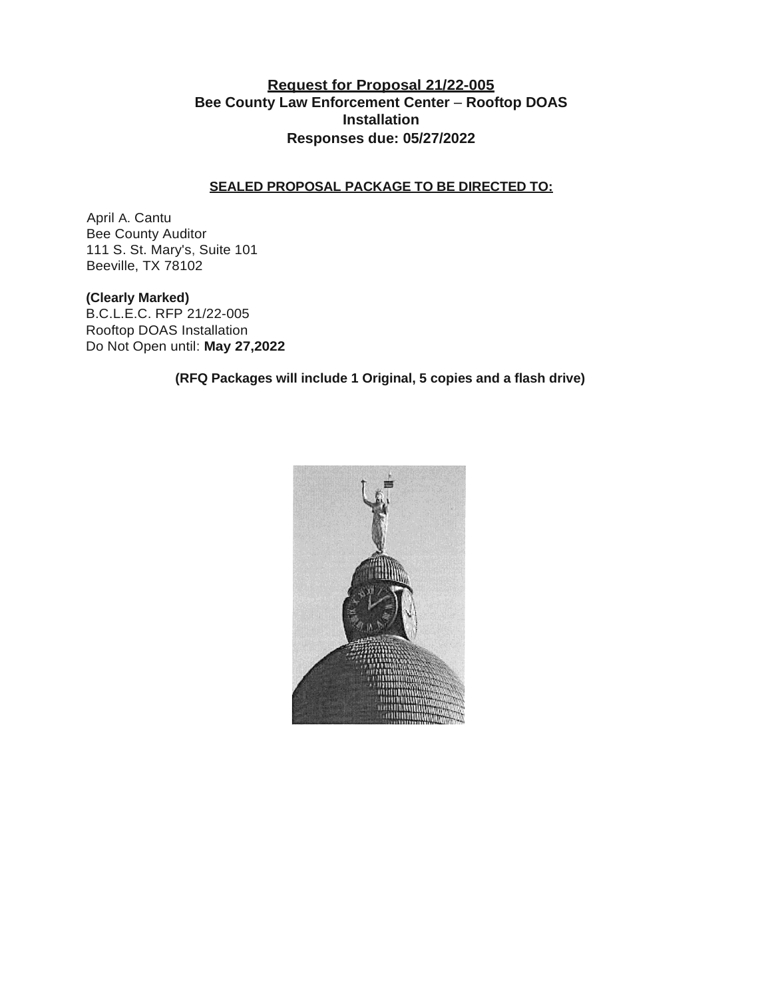## **Request for Proposal 21/22-005 Bee County Law Enforcement Center** – **Rooftop DOAS Installation Responses due: 05/27/2022**

#### **SEALED PROPOSAL PACKAGE TO BE DIRECTED TO:**

April A. Cantu Bee County Auditor 111 S. St. Mary's, Suite 101 Beeville, TX 78102

**(Clearly Marked)** B.C.L.E.C. RFP 21/22-005

Rooftop DOAS Installation Do Not Open until: **May 27,2022**

**(RFQ Packages will include 1 Original, 5 copies and a flash drive)**

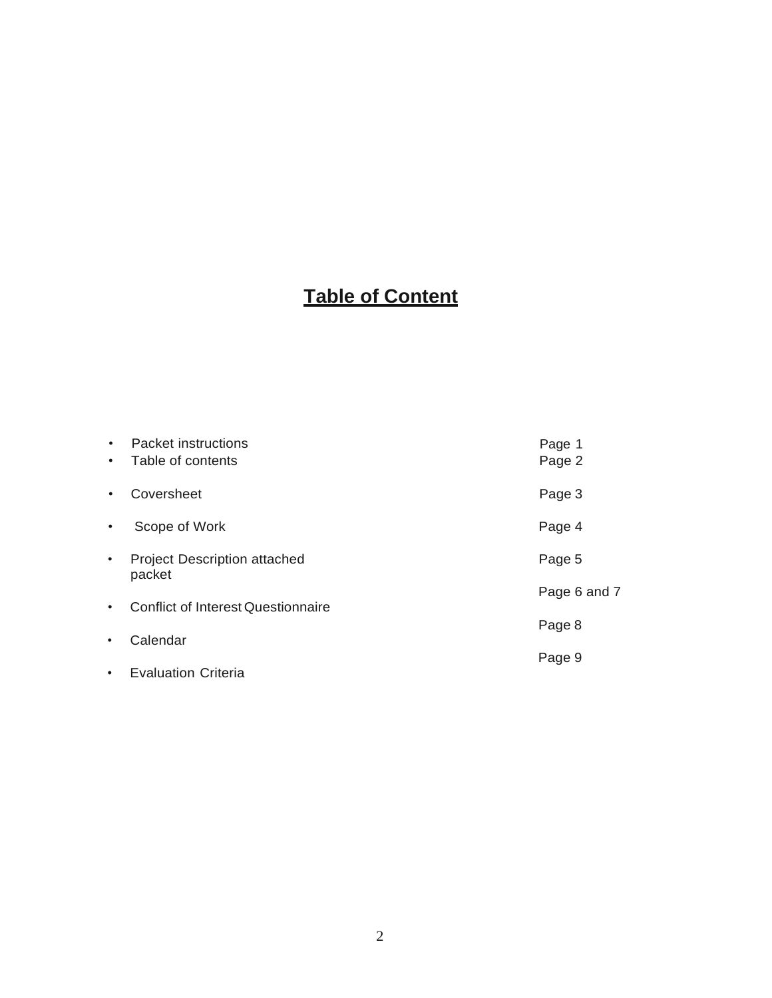# **Table of Content**

| $\bullet$<br>$\bullet$ | Packet instructions<br>Table of contents      | Page 1<br>Page 2 |
|------------------------|-----------------------------------------------|------------------|
| $\bullet$              | Coversheet                                    | Page 3           |
| $\bullet$              | Scope of Work                                 | Page 4           |
| $\bullet$              | <b>Project Description attached</b><br>packet | Page 5           |
| $\bullet$              | <b>Conflict of Interest Questionnaire</b>     | Page 6 and 7     |
|                        |                                               |                  |
| $\bullet$              | Calendar                                      | Page 8           |
|                        |                                               | Page 9           |
| $\bullet$              | <b>Evaluation Criteria</b>                    |                  |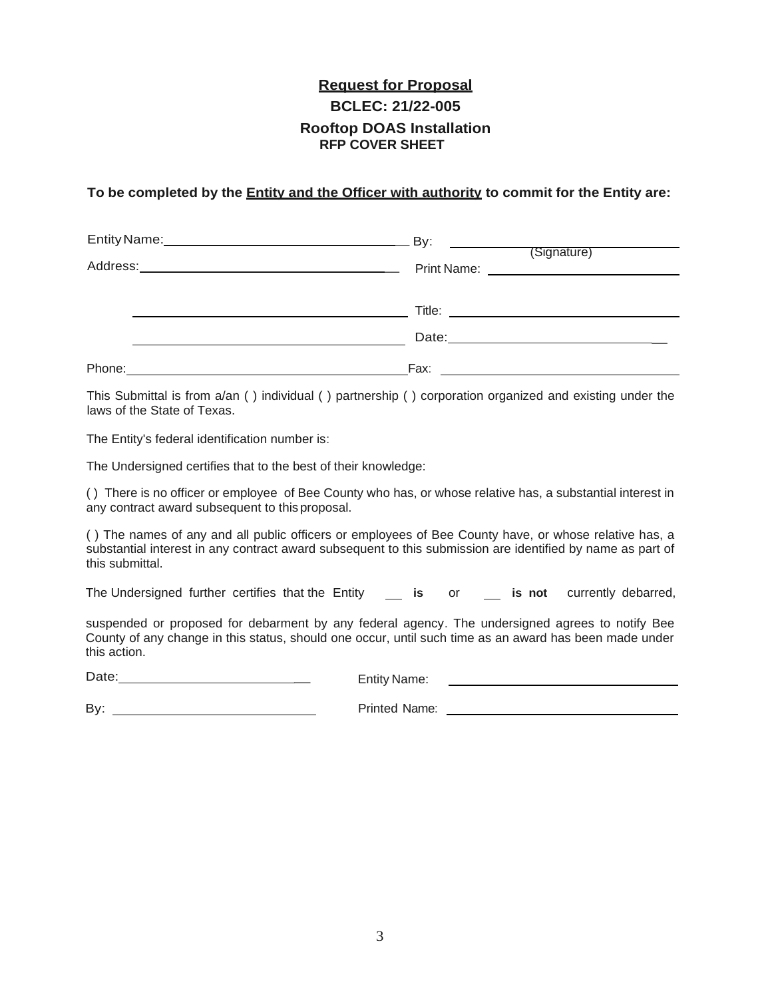## **Request for Proposal BCLEC: 21/22-005 Rooftop DOAS Installation RFP COVER SHEET**

#### **To be completed by the Entity and the Officer with authority to commit for the Entity are:**

|                                                                                                               | Print Name: <u>_______________________________</u>                                                                                                                                                                             |  |
|---------------------------------------------------------------------------------------------------------------|--------------------------------------------------------------------------------------------------------------------------------------------------------------------------------------------------------------------------------|--|
|                                                                                                               | Title: The contract of the contract of the contract of the contract of the contract of the contract of the contract of the contract of the contract of the contract of the contract of the contract of the contract of the con |  |
|                                                                                                               |                                                                                                                                                                                                                                |  |
| Phone: 2008 2010 2020 2020 2020 2021 2021 2022 2021 2022 2021 2022 2022 2022 2021 2021 2022 2022 2021 2021 20 |                                                                                                                                                                                                                                |  |

This Submittal is from a/an ( ) individual ( ) partnership ( ) corporation organized and existing under the laws of the State of Texas.

The Entity's federal identification number is:

The Undersigned certifies that to the best of their knowledge:

( ) There is no officer or employee of Bee County who has, or whose relative has, a substantial interest in any contract award subsequent to this proposal.

( ) The names of any and all public officers or employees of Bee County have, or whose relative has, a substantial interest in any contract award subsequent to this submission are identified by name as part of this submittal.

The Undersigned further certifies that the Entity **is** or **is not** currently debarred,

suspended or proposed for debarment by any federal agency. The undersigned agrees to notify Bee County of any change in this status, should one occur, until such time as an award has been made under this action.

Date: \_ Entity Name:

By:

Printed Name: University of Printed Name: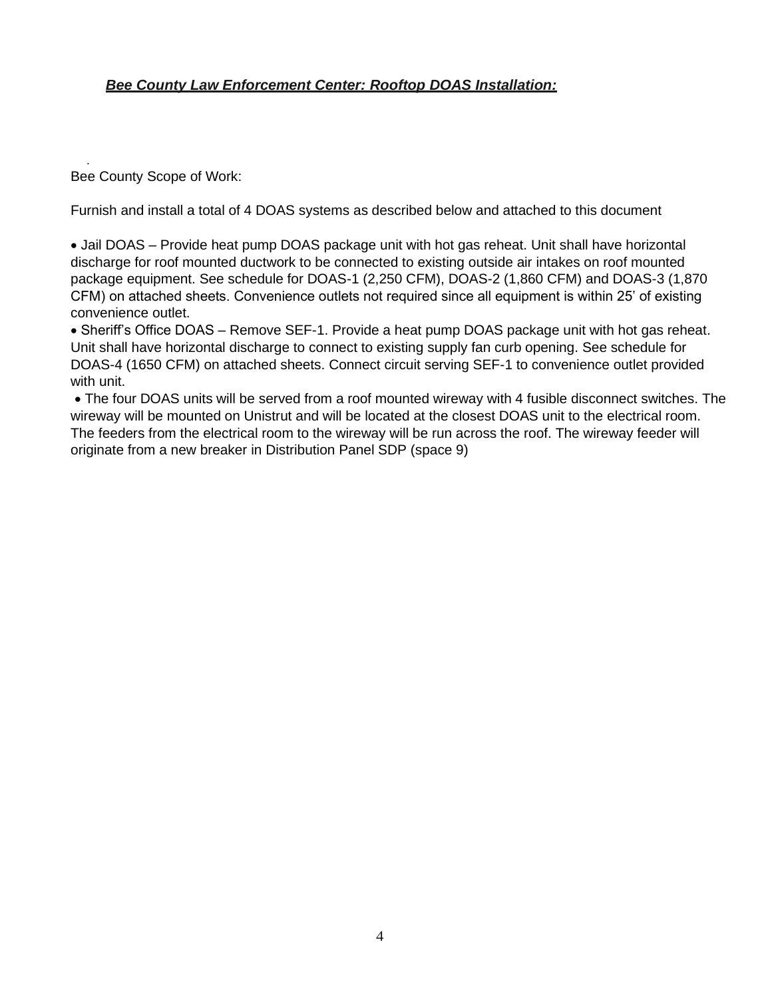## *Bee County Law Enforcement Center: Rooftop DOAS Installation:*

. Bee County Scope of Work:

Furnish and install a total of 4 DOAS systems as described below and attached to this document

• Jail DOAS – Provide heat pump DOAS package unit with hot gas reheat. Unit shall have horizontal discharge for roof mounted ductwork to be connected to existing outside air intakes on roof mounted package equipment. See schedule for DOAS-1 (2,250 CFM), DOAS-2 (1,860 CFM) and DOAS-3 (1,870 CFM) on attached sheets. Convenience outlets not required since all equipment is within 25' of existing convenience outlet.

• Sheriff's Office DOAS – Remove SEF-1. Provide a heat pump DOAS package unit with hot gas reheat. Unit shall have horizontal discharge to connect to existing supply fan curb opening. See schedule for DOAS-4 (1650 CFM) on attached sheets. Connect circuit serving SEF-1 to convenience outlet provided with unit.

• The four DOAS units will be served from a roof mounted wireway with 4 fusible disconnect switches. The wireway will be mounted on Unistrut and will be located at the closest DOAS unit to the electrical room. The feeders from the electrical room to the wireway will be run across the roof. The wireway feeder will originate from a new breaker in Distribution Panel SDP (space 9)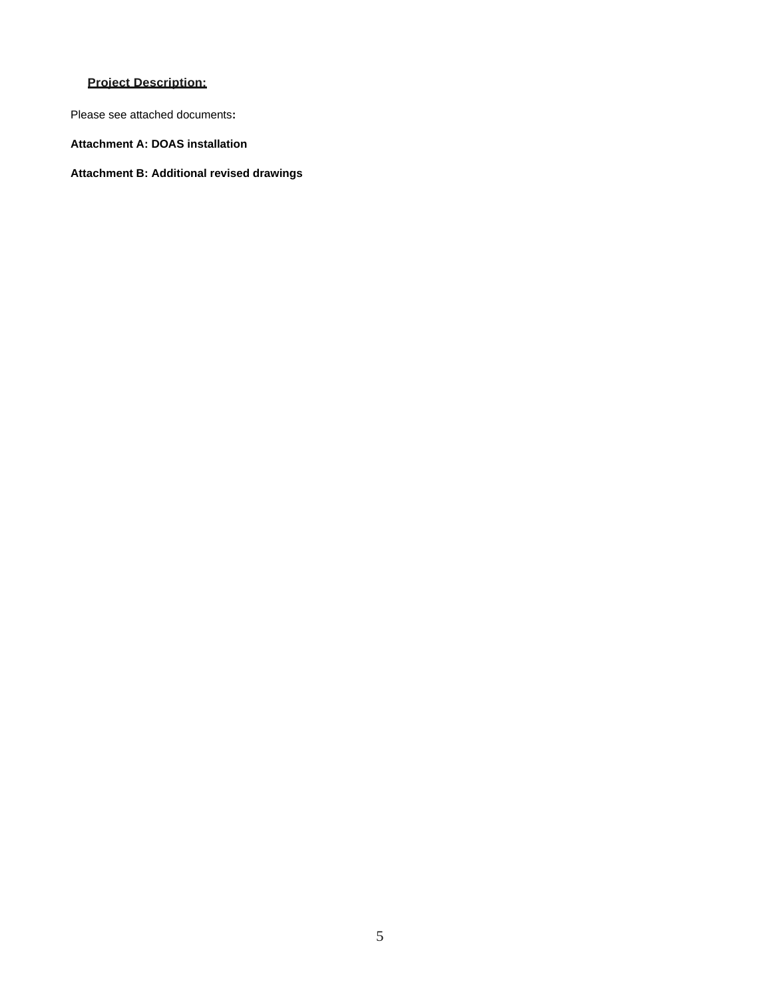### **Project Description:**

Please see attached documents**:**

**Attachment A: DOAS installation**

**Attachment B: Additional revised drawings**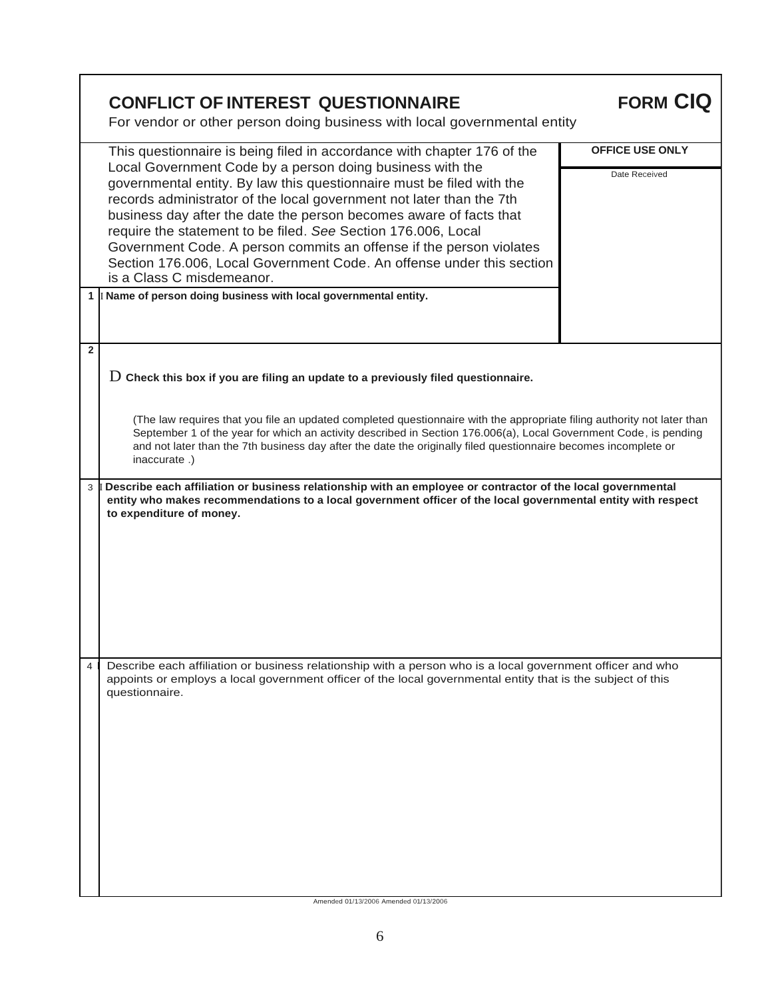|                | <b>CONFLICT OF INTEREST QUESTIONNAIRE</b><br>For vendor or other person doing business with local governmental entity                                                                                                                                                                                                                                                                                                                                                                                                                                                                                                                                                          | <b>FORM CIQ</b>                         |
|----------------|--------------------------------------------------------------------------------------------------------------------------------------------------------------------------------------------------------------------------------------------------------------------------------------------------------------------------------------------------------------------------------------------------------------------------------------------------------------------------------------------------------------------------------------------------------------------------------------------------------------------------------------------------------------------------------|-----------------------------------------|
|                | This questionnaire is being filed in accordance with chapter 176 of the<br>Local Government Code by a person doing business with the<br>governmental entity. By law this questionnaire must be filed with the<br>records administrator of the local government not later than the 7th<br>business day after the date the person becomes aware of facts that<br>require the statement to be filed. See Section 176.006, Local<br>Government Code. A person commits an offense if the person violates<br>Section 176.006, Local Government Code. An offense under this section<br>is a Class C misdemeanor.<br>1 I Name of person doing business with local governmental entity. | <b>OFFICE USE ONLY</b><br>Date Received |
| $\overline{2}$ | $D$ Check this box if you are filing an update to a previously filed questionnaire.<br>(The law requires that you file an updated completed questionnaire with the appropriate filing authority not later than<br>September 1 of the year for which an activity described in Section 176.006(a), Local Government Code, is pending<br>and not later than the 7th business day after the date the originally filed questionnaire becomes incomplete or<br>inaccurate.)                                                                                                                                                                                                          |                                         |
| 3              | Describe each affiliation or business relationship with an employee or contractor of the local governmental<br>entity who makes recommendations to a local government officer of the local governmental entity with respect<br>to expenditure of money.                                                                                                                                                                                                                                                                                                                                                                                                                        |                                         |
| $\overline{4}$ | Describe each affiliation or business relationship with a person who is a local government officer and who<br>appoints or employs a local government officer of the local governmental entity that is the subject of this<br>questionnaire.<br>Amended 01/13/2006 Amended 01/13/2006                                                                                                                                                                                                                                                                                                                                                                                           |                                         |

 $\mathbf{r}$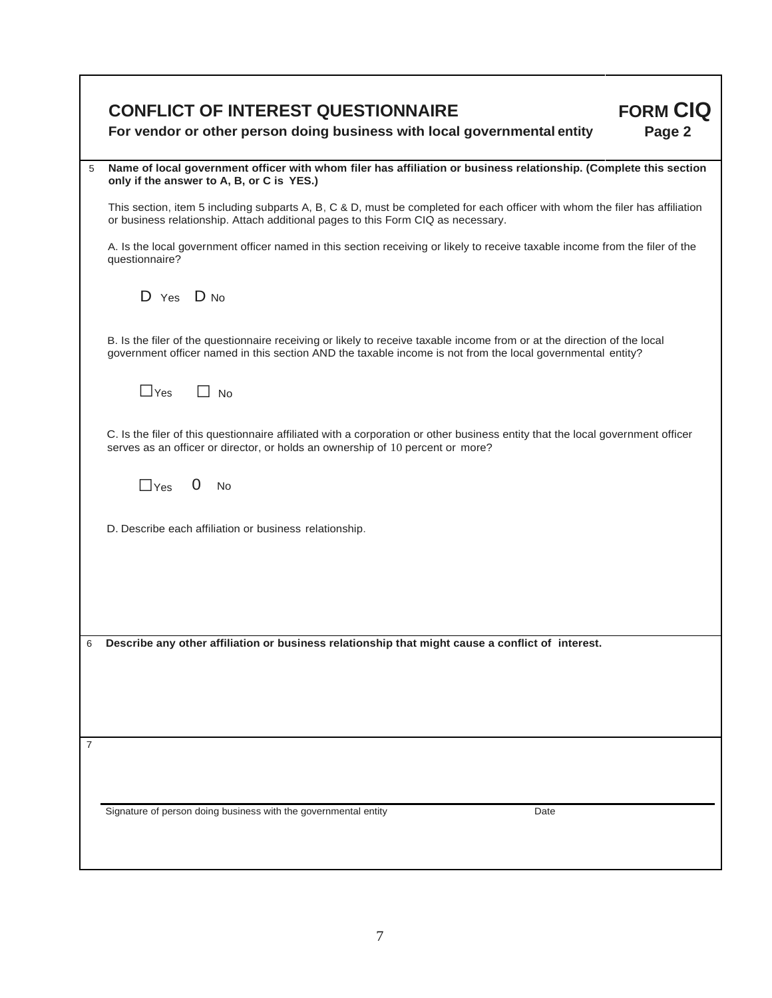|   | <b>FORM CIQ</b><br><b>CONFLICT OF INTEREST QUESTIONNAIRE</b><br>Page 2<br>For vendor or other person doing business with local governmental entity                                                                                     |
|---|----------------------------------------------------------------------------------------------------------------------------------------------------------------------------------------------------------------------------------------|
| 5 | Name of local government officer with whom filer has affiliation or business relationship. (Complete this section<br>only if the answer to A, B, or C is YES.)                                                                         |
|   | This section, item 5 including subparts A, B, C & D, must be completed for each officer with whom the filer has affiliation<br>or business relationship. Attach additional pages to this Form CIQ as necessary.                        |
|   | A. Is the local government officer named in this section receiving or likely to receive taxable income from the filer of the<br>questionnaire?                                                                                         |
|   | $D$ Yes $D$ No                                                                                                                                                                                                                         |
|   | B. Is the filer of the questionnaire receiving or likely to receive taxable income from or at the direction of the local<br>government officer named in this section AND the taxable income is not from the local governmental entity? |
|   | $\Box$ Yes<br><b>No</b>                                                                                                                                                                                                                |
|   | C. Is the filer of this questionnaire affiliated with a corporation or other business entity that the local government officer<br>serves as an officer or director, or holds an ownership of 10 percent or more?                       |
|   | $0$ No<br>$\Box$ Yes                                                                                                                                                                                                                   |
|   | D. Describe each affiliation or business relationship.                                                                                                                                                                                 |
|   |                                                                                                                                                                                                                                        |
|   |                                                                                                                                                                                                                                        |
| 6 | Describe any other affiliation or business relationship that might cause a conflict of interest.                                                                                                                                       |
|   |                                                                                                                                                                                                                                        |
|   |                                                                                                                                                                                                                                        |
| 7 |                                                                                                                                                                                                                                        |
|   | Signature of person doing business with the governmental entity<br>Date                                                                                                                                                                |

٦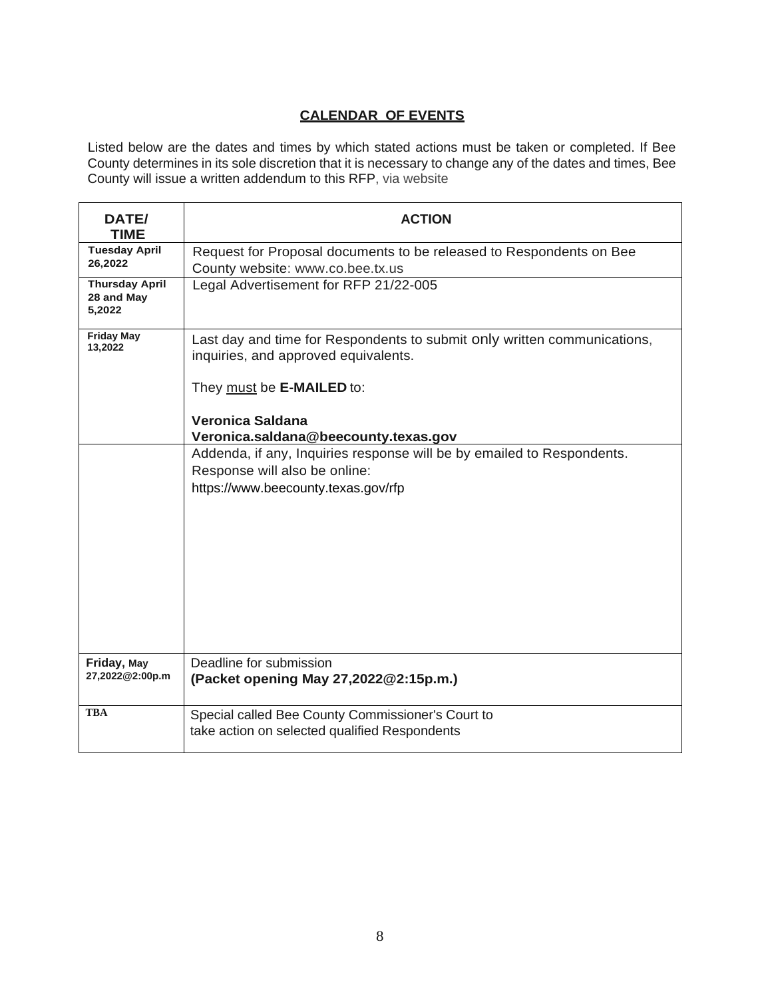## **CALENDAR OF EVENTS**

Listed below are the dates and times by which stated actions must be taken or completed. If Bee County determines in its sole discretion that it is necessary to change any of the dates and times, Bee County will issue a written addendum to this RFP, via website

| DATE/<br><b>TIME</b>                          | <b>ACTION</b>                                                                                                                                                                                             |
|-----------------------------------------------|-----------------------------------------------------------------------------------------------------------------------------------------------------------------------------------------------------------|
| <b>Tuesday April</b><br>26,2022               | Request for Proposal documents to be released to Respondents on Bee<br>County website: www.co.bee.tx.us                                                                                                   |
| <b>Thursday April</b><br>28 and May<br>5,2022 | Legal Advertisement for RFP 21/22-005                                                                                                                                                                     |
| <b>Friday May</b><br>13,2022                  | Last day and time for Respondents to submit only written communications,<br>inquiries, and approved equivalents.<br>They must be E-MAILED to:<br>Veronica Saldana<br>Veronica.saldana@beecounty.texas.gov |
|                                               | Addenda, if any, Inquiries response will be by emailed to Respondents.<br>Response will also be online:<br>https://www.beecounty.texas.gov/rfp                                                            |
| Friday, May<br>27,2022@2:00p.m                | Deadline for submission<br>(Packet opening May 27,2022@2:15p.m.)                                                                                                                                          |
| <b>TBA</b>                                    | Special called Bee County Commissioner's Court to<br>take action on selected qualified Respondents                                                                                                        |